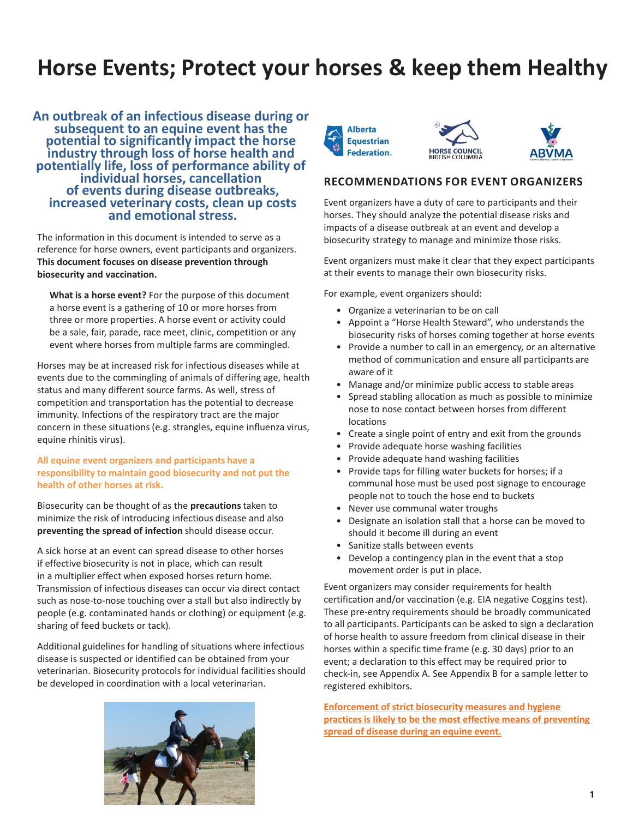# **Horse Events; Protect your horses & keep them Healthy**

**An outbreak of an infectious disease during or subsequent to an equine event has the potential to significantly impact the horse industry through loss of horse health and potentially life, loss of performance ability of individual horses, cancellation of events during disease outbreaks, increased veterinary costs, clean up costs and emotionalstress.**

The information in this document is intended to serve as a reference for horse owners, event participants and organizers. **This document focuses on disease prevention through biosecurity and vaccination.**

**What is a horse event?** For the purpose of this document a horse event is a gathering of 10 or more horses from three or more properties. A horse event or activity could be a sale, fair, parade, race meet, clinic, competition or any event where horses from multiple farms are commingled.

Horses may be at increased risk for infectious diseases while at events due to the commingling of animals of differing age, health status and many different source farms. As well, stress of competition and transportation has the potential to decrease immunity. Infections of the respiratory tract are the major concern in these situations (e.g. strangles, equine influenza virus, equine rhinitis virus).

**All equine event organizers and participants have a responsibility to maintain good biosecurity and not put the health of other horses at risk.**

Biosecurity can be thought of as the **precautions**taken to minimize the risk of introducing infectious disease and also **preventing the spread of infection** should disease occur.

A sick horse at an event can spread disease to other horses if effective biosecurity is not in place, which can result in a multiplier effect when exposed horses return home. Transmission of infectious diseases can occur via direct contact such as nose-to-nose touching over a stall but also indirectly by people (e.g. contaminated hands or clothing) or equipment (e.g. sharing of feed buckets or tack).

Additional guidelines for handling of situations where infectious disease is suspected or identified can be obtained from your veterinarian. Biosecurity protocols for individual facilities should be developed in coordination with a local veterinarian.









### **RECOMMENDATIONS FOR EVENT ORGANIZERS**

Event organizers have a duty of care to participants and their horses. They should analyze the potential disease risks and impacts of a disease outbreak at an event and develop a biosecurity strategy to manage and minimize those risks.

Event organizers must make it clear that they expect participants at their events to manage their own biosecurity risks.

For example, event organizers should:

- Organize a veterinarian to be on call
- Appoint a "Horse Health Steward", who understands the biosecurity risks of horses coming together at horse events
- Provide a number to call in an emergency, or an alternative method of communication and ensure all participants are aware of it
- Manage and/or minimize public access to stable areas
- Spread stabling allocation as much as possible to minimize nose to nose contact between horses from different locations
- Create a single point of entry and exit from the grounds
- Provide adequate horse washing facilities
- Provide adequate hand washing facilities
- Provide taps for filling water buckets for horses; if a communal hose must be used post signage to encourage people not to touch the hose end to buckets
- Never use communal water troughs
- Designate an isolation stall that a horse can be moved to should it become ill during an event
- Sanitize stalls between events
- Develop a contingency plan in the event that a stop movement order is put in place.

Event organizers may consider requirements for health certification and/or vaccination (e.g. EIA negative Coggins test). These pre-entry requirements should be broadly communicated to all participants. Participants can be asked to sign a declaration of horse health to assure freedom from clinical disease in their horses within a specific time frame (e.g. 30 days) prior to an event; a declaration to this effect may be required prior to check-in, see Appendix A. See Appendix B for a sample letter to registered exhibitors.

**Enforcement of strict biosecurity measures and hygiene practicesis likely to be the most effective means of preventing spread of disease during an equine event.**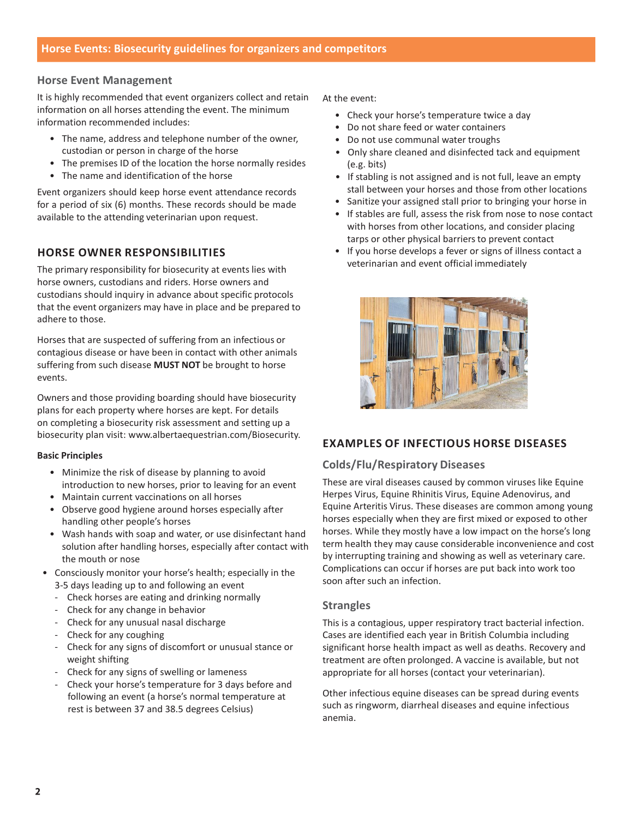## **Horse Event Management**

It is highly recommended that event organizers collect and retain information on all horses attending the event. The minimum information recommended includes:

- The name, address and telephone number of the owner, custodian or person in charge of the horse
- The premises ID of the location the horse normally resides
- The name and identification of the horse

Event organizers should keep horse event attendance records for a period of six (6) months. These records should be made available to the attending veterinarian upon request.

## **HORSE OWNER RESPONSIBILITIES**

The primary responsibility for biosecurity at events lies with horse owners, custodians and riders. Horse owners and custodians should inquiry in advance about specific protocols that the event organizers may have in place and be prepared to adhere to those.

Horses that are suspected of suffering from an infectious or contagious disease or have been in contact with other animals suffering from such disease **MUST NOT** be brought to horse events.

Owners and those providing boarding should have biosecurity plans for each property where horses are kept. For details on completing a biosecurity risk assessment and setting up a [biosecurity plan visit: www.albertaequestrian.com/Biosecurity.](http://www.albertaequestrian.com/Biosecurity)

#### **Basic Principles**

- Minimize the risk of disease by planning to avoid introduction to new horses, prior to leaving for an event
- Maintain current vaccinations on all horses
- Observe good hygiene around horses especially after handling other people's horses
- Wash hands with soap and water, or use disinfectant hand solution after handling horses, especially after contact with the mouth or nose
- Consciously monitor your horse's health; especially in the 3-5 days leading up to and following an event
	- Check horses are eating and drinking normally
	- Check for any change in behavior
	- Check for any unusual nasal discharge
	- Check for any coughing
	- Check for any signs of discomfort or unusual stance or weight shifting
	- Check for any signs of swelling or lameness
	- Check your horse's temperature for 3 days before and following an event (a horse's normal temperature at rest is between 37 and 38.5 degrees Celsius)

At the event:

- Check your horse's temperature twice a day
- Do not share feed or water containers
- Do not use communal water troughs
- Only share cleaned and disinfected tack and equipment (e.g. bits)
- If stabling is not assigned and is not full, leave an empty stall between your horses and those from other locations
- Sanitize your assigned stall prior to bringing your horse in
- If stables are full, assess the risk from nose to nose contact with horses from other locations, and consider placing tarps or other physical barriers to prevent contact
- If you horse develops a fever or signs of illness contact a veterinarian and event official immediately



# **EXAMPLES OF INFECTIOUS HORSE DISEASES**

# **Colds/Flu/Respiratory Diseases**

These are viral diseases caused by common viruses like Equine Herpes Virus, Equine Rhinitis Virus, Equine Adenovirus, and Equine Arteritis Virus. These diseases are common among young horses especially when they are first mixed or exposed to other horses. While they mostly have a low impact on the horse's long term health they may cause considerable inconvenience and cost by interrupting training and showing as well as veterinary care. Complications can occur if horses are put back into work too soon after such an infection.

## **Strangles**

This is a contagious, upper respiratory tract bacterial infection. Cases are identified each year in British Columbia including significant horse health impact as well as deaths. Recovery and treatment are often prolonged. A vaccine is available, but not appropriate for all horses (contact your veterinarian).

Other infectious equine diseases can be spread during events such as ringworm, diarrheal diseases and equine infectious anemia.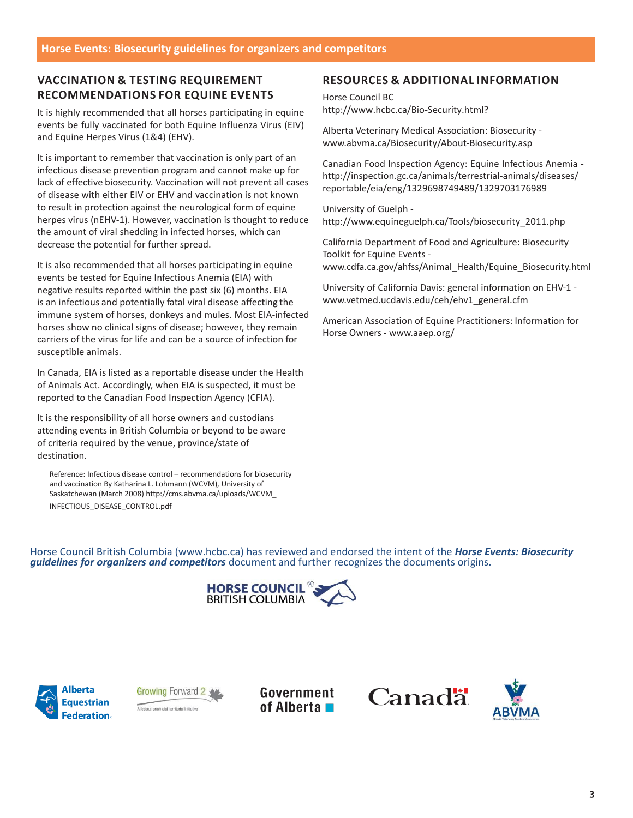# **VACCINATION & TESTING REQUIREMENT RECOMMENDATIONS FOR EQUINE EVENTS**

It is highly recommended that all horses participating in equine events be fully vaccinated for both Equine Influenza Virus (EIV) and Equine Herpes Virus (1&4) (EHV).

It is important to remember that vaccination is only part of an infectious disease prevention program and cannot make up for lack of effective biosecurity. Vaccination will not prevent all cases of disease with either EIV or EHV and vaccination is not known to result in protection against the neurological form of equine herpes virus (nEHV-1). However, vaccination is thought to reduce the amount of viral shedding in infected horses, which can decrease the potential for further spread.

It is also recommended that all horses participating in equine events be tested for Equine Infectious Anemia (EIA) with negative results reported within the past six (6) months. EIA is an infectious and potentially fatal viral disease affecting the immune system of horses, donkeys and mules. Most EIA-infected horses show no clinical signs of disease; however, they remain carriers of the virus for life and can be a source of infection for susceptible animals.

In Canada, EIA is listed as a reportable disease under the Health of Animals Act. Accordingly, when EIA is suspected, it must be reported to the Canadian Food Inspection Agency (CFIA).

It is the responsibility of all horse owners and custodians attending events in British Columbia or beyond to be aware of criteria required by the venue, province/state of destination.

Reference: Infectious disease control – recommendations for biosecurity and vaccination By Katharina L. Lohmann (WCVM), University of Saskatchewan (Ma[rch 2008\) http://cms.abvma.ca/uploads/WCVM\\_](http://cms.abvma.ca/uploads/WCVM_) INFECTIOUS\_DISEASE\_CONTROL.pdf

## **RESOURCES & ADDITIONAL INFORMATION**

Horse Council BC http://www.hcbc.ca/Bio-Security.html?

Alberta Veterinary Medical Association: Biosecurity  [www.abvma.ca/Biosecurity/About-Biosecurity.asp](http://www.abvma.ca/Biosecurity/About-Biosecurity.asp)

Canadian Food Inspection Agency: Equine Infectious Anemia  <http://inspection.gc.ca/animals/terrestrial-animals/diseases/> reportable/eia/eng/1329698749489/1329703176989

University of Guelph  [http://www.equineguelph.ca/Tools/biosecurity\\_2011.php](http://www.equineguelph.ca/Tools/biosecurity_2011.php)

California Department of Food and Agriculture: Biosecurity Toolkit for Equine Events  [www.cdfa.ca.gov/ahfss/Animal\\_Health/Equine\\_Biosecurity.html](http://www.cdfa.ca.gov/ahfss/Animal_Health/Equine_Biosecurity.html)

University of California Davis: general information on EHV-1  [www.vetmed.ucdavis.edu/ceh/ehv1\\_general.cfm](http://www.vetmed.ucdavis.edu/ceh/ehv1_general.cfm)

American Association of Equine Practitioners: Information for Horse Owners - [www.aaep.org/](http://www.aaep.org/)

Horse Council British Columbia [\(www.hcbc.ca\)](http://www.hcbc.ca/) has reviewed and endorsed the intent of the *Horse Events: Biosecurity guidelines for organizers and competitors* document and further recognizes the documents origins.





Growing Forward 2 laral.nrnnincial.tamitorial.initi

Government of Alberta  $\blacksquare$ 



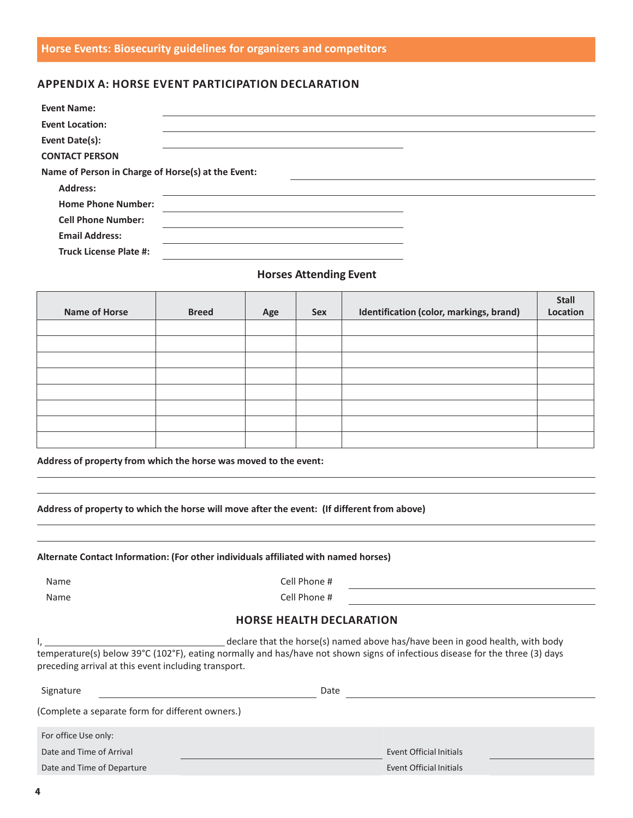#### **APPENDIX A: HORSE EVENT PARTICIPATION DECLARATION**

| <b>Event Name:</b>                                 |  |  |
|----------------------------------------------------|--|--|
| <b>Event Location:</b>                             |  |  |
| Event Date(s):                                     |  |  |
| <b>CONTACT PERSON</b>                              |  |  |
| Name of Person in Charge of Horse(s) at the Event: |  |  |
| <b>Address:</b>                                    |  |  |
| <b>Home Phone Number:</b>                          |  |  |
| <b>Cell Phone Number:</b>                          |  |  |
| <b>Email Address:</b>                              |  |  |
| <b>Truck License Plate #:</b>                      |  |  |

#### **Horses Attending Event**

| <b>Name of Horse</b> | <b>Breed</b> | Age | Sex | Identification (color, markings, brand) | <b>Stall</b><br>Location |
|----------------------|--------------|-----|-----|-----------------------------------------|--------------------------|
|                      |              |     |     |                                         |                          |
|                      |              |     |     |                                         |                          |
|                      |              |     |     |                                         |                          |
|                      |              |     |     |                                         |                          |
|                      |              |     |     |                                         |                          |
|                      |              |     |     |                                         |                          |
|                      |              |     |     |                                         |                          |
|                      |              |     |     |                                         |                          |

**Address of property from which the horse was moved to the event:**

**Address of property to which the horse will move after the event: (If different from above)**

#### **Alternate Contact Information: (For other individuals affiliated with named horses)**

Name Cell Phone #

Name Cell Phone #

## **HORSE HEALTH DECLARATION**

I, 1. 2008 1. declare that the horse(s) named above has/have been in good health, with body temperature(s) below 39°C (102°F), eating normally and has/have not shown signs of infectious disease for the three (3) days preceding arrival at this event including transport.

| Signature                                        | Date                    |
|--------------------------------------------------|-------------------------|
| (Complete a separate form for different owners.) |                         |
| For office Use only:                             |                         |
| Date and Time of Arrival                         | Event Official Initials |
| Date and Time of Departure                       | Event Official Initials |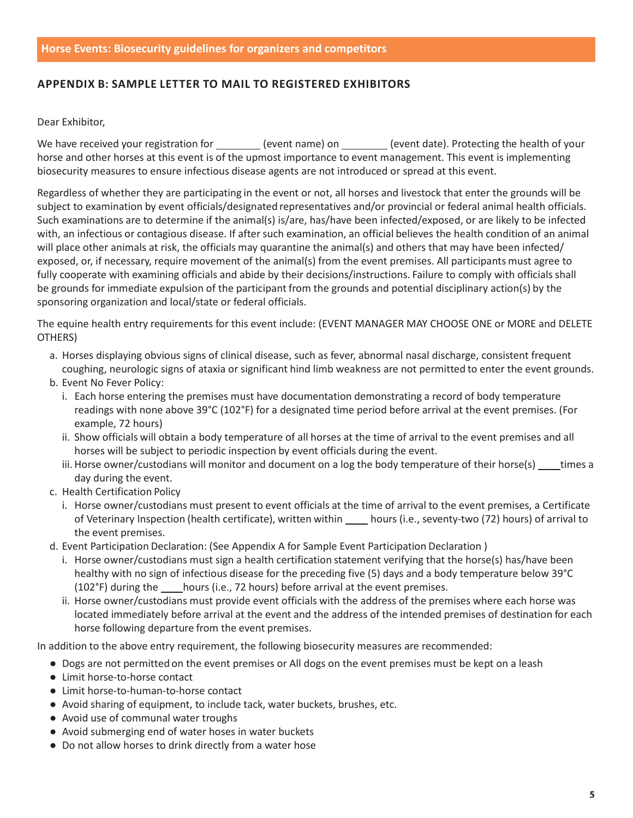# **APPENDIX B: SAMPLE LETTER TO MAIL TO REGISTERED EXHIBITORS**

## Dear Exhibitor,

We have received your registration for (event name) on (event date). Protecting the health of your horse and other horses at this event is of the upmost importance to event management. This event is implementing biosecurity measures to ensure infectious disease agents are not introduced or spread at this event.

Regardless of whether they are participating in the event or not, all horses and livestock that enter the grounds will be subject to examination by event officials/designated representatives and/or provincial or federal animal health officials. Such examinations are to determine if the animal(s) is/are, has/have been infected/exposed, or are likely to be infected with, an infectious or contagious disease. If after such examination, an official believes the health condition of an animal will place other animals at risk, the officials may quarantine the animal(s) and others that may have been infected/ exposed, or, if necessary, require movement of the animal(s) from the event premises. All participants must agree to fully cooperate with examining officials and abide by their decisions/instructions. Failure to comply with officials shall be grounds for immediate expulsion of the participant from the grounds and potential disciplinary action(s) by the sponsoring organization and local/state or federal officials.

The equine health entry requirements for this event include: (EVENT MANAGER MAY CHOOSE ONE or MORE and DELETE OTHERS)

- a. Horses displaying obvious signs of clinical disease, such as fever, abnormal nasal discharge, consistent frequent coughing, neurologic signs of ataxia or significant hind limb weakness are not permitted to enter the event grounds.
- b. Event No Fever Policy:
	- i. Each horse entering the premises must have documentation demonstrating a record of body temperature readings with none above 39°C (102°F) for a designated time period before arrival at the event premises. (For example, 72 hours)
	- ii. Show officials will obtain a body temperature of all horses at the time of arrival to the event premises and all horses will be subject to periodic inspection by event officials during the event.
	- iii. Horse owner/custodians will monitor and document on a log the body temperature of their horse(s)  $\frac{1}{\sqrt{1-\frac{1}{n}}}\$ day during the event.
- c. Health Certification Policy
	- i. Horse owner/custodians must present to event officials at the time of arrival to the event premises, a Certificate of Veterinary Inspection (health certificate), written within hours (i.e., seventy-two (72) hours) of arrival to the event premises.
- d. Event Participation Declaration: (See Appendix A for Sample Event Participation Declaration )
	- i. Horse owner/custodians must sign a health certification statement verifying that the horse(s) has/have been healthy with no sign of infectious disease for the preceding five (5) days and a body temperature below 39°C (102°F) during the hours (i.e., 72 hours) before arrival at the event premises.
	- ii. Horse owner/custodians must provide event officials with the address of the premises where each horse was located immediately before arrival at the event and the address of the intended premises of destination for each horse following departure from the event premises.

In addition to the above entry requirement, the following biosecurity measures are recommended:

- Dogs are not permitted on the event premises or All dogs on the event premises must be kept on a leash
- Limit horse-to-horse contact
- Limit horse-to-human-to-horse contact
- Avoid sharing of equipment, to include tack, water buckets, brushes, etc.
- Avoid use of communal water troughs
- Avoid submerging end of water hoses in water buckets
- Do not allow horses to drink directly from a water hose